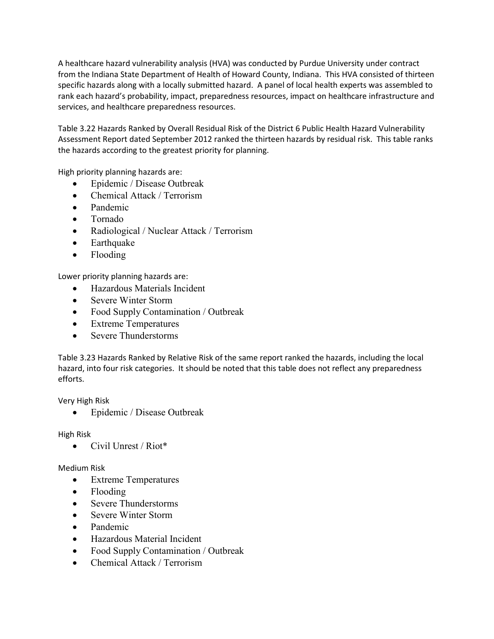A healthcare hazard vulnerability analysis (HVA) was conducted by Purdue University under contract from the Indiana State Department of Health of Howard County, Indiana. This HVA consisted of thirteen specific hazards along with a locally submitted hazard. A panel of local health experts was assembled to rank each hazard's probability, impact, preparedness resources, impact on healthcare infrastructure and services, and healthcare preparedness resources.

Table 3.22 Hazards Ranked by Overall Residual Risk of the District 6 Public Health Hazard Vulnerability Assessment Report dated September 2012 ranked the thirteen hazards by residual risk. This table ranks the hazards according to the greatest priority for planning.

High priority planning hazards are:

- Epidemic / Disease Outbreak
- Chemical Attack / Terrorism
- Pandemic
- Tornado
- Radiological / Nuclear Attack / Terrorism
- Earthquake
- Flooding

Lower priority planning hazards are:

- Hazardous Materials Incident
- Severe Winter Storm
- Food Supply Contamination / Outbreak
- Extreme Temperatures
- Severe Thunderstorms

Table 3.23 Hazards Ranked by Relative Risk of the same report ranked the hazards, including the local hazard, into four risk categories. It should be noted that this table does not reflect any preparedness efforts.

Very High Risk

• Epidemic / Disease Outbreak

High Risk

 $\bullet$  Civil Unrest / Riot\*

## Medium Risk

- Extreme Temperatures
- Flooding
- Severe Thunderstorms
- Severe Winter Storm
- Pandemic
- Hazardous Material Incident
- Food Supply Contamination / Outbreak
- Chemical Attack / Terrorism